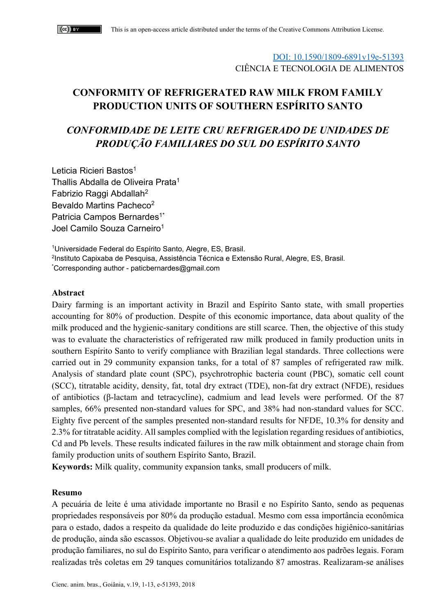### DOI: 10.1590/1809-6891v19e-51393 CIÊNCIA E TECNOLOGIA DE ALIMENTOS

# **CONFORMITY OF REFRIGERATED RAW MILK FROM FAMILY PRODUCTION UNITS OF SOUTHERN ESPÍRITO SANTO**

# *CONFORMIDADE DE LEITE CRU REFRIGERADO DE UNIDADES DE PRODUÇÃO FAMILIARES DO SUL DO ESPÍRITO SANTO*

Leticia Ricieri Bastos<sup>1</sup> Thallis Abdalla de Oliveira Prata<sup>1</sup> Fabrizio Raggi Abdallah2 Bevaldo Martins Pacheco<sup>2</sup> Patricia Campos Bernardes<sup>1\*</sup> Joel Camilo Souza Carneiro<sup>1</sup>

1Universidade Federal do Espírito Santo, Alegre, ES, Brasil. 2Instituto Capixaba de Pesquisa, Assistência Técnica e Extensão Rural, Alegre, ES, Brasil. \* Corresponding author - paticbernardes@gmail.com

#### **Abstract**

Dairy farming is an important activity in Brazil and Espírito Santo state, with small properties accounting for 80% of production. Despite of this economic importance, data about quality of the milk produced and the hygienic-sanitary conditions are still scarce. Then, the objective of this study was to evaluate the characteristics of refrigerated raw milk produced in family production units in southern Espírito Santo to verify compliance with Brazilian legal standards. Three collections were carried out in 29 community expansion tanks, for a total of 87 samples of refrigerated raw milk. Analysis of standard plate count (SPC), psychrotrophic bacteria count (PBC), somatic cell count (SCC), titratable acidity, density, fat, total dry extract (TDE), non-fat dry extract (NFDE), residues of antibiotics (β-lactam and tetracycline), cadmium and lead levels were performed. Of the 87 samples, 66% presented non-standard values for SPC, and 38% had non-standard values for SCC. Eighty five percent of the samples presented non-standard results for NFDE, 10.3% for density and 2.3% for titratable acidity. All samples complied with the legislation regarding residues of antibiotics, Cd and Pb levels. These results indicated failures in the raw milk obtainment and storage chain from family production units of southern Espírito Santo, Brazil.

**Keywords:** Milk quality, community expansion tanks, small producers of milk.

#### **Resumo**

A pecuária de leite é uma atividade importante no Brasil e no Espírito Santo, sendo as pequenas propriedades responsáveis por 80% da produção estadual. Mesmo com essa importância econômica para o estado, dados a respeito da qualidade do leite produzido e das condições higiênico-sanitárias de produção, ainda são escassos. Objetivou-se avaliar a qualidade do leite produzido em unidades de produção familiares, no sul do Espírito Santo, para verificar o atendimento aos padrões legais. Foram realizadas três coletas em 29 tanques comunitários totalizando 87 amostras. Realizaram-se análises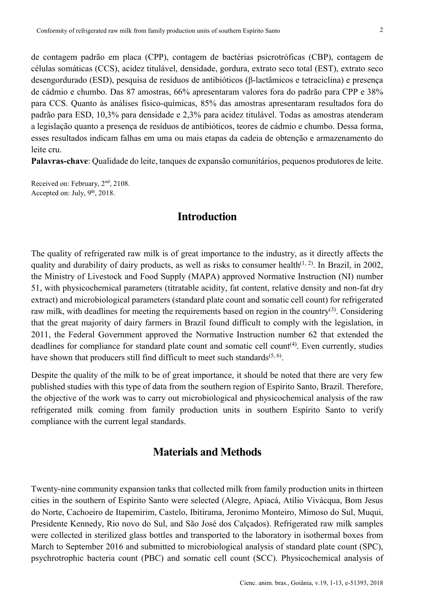de contagem padrão em placa (CPP), contagem de bactérias psicrotróficas (CBP), contagem de células somáticas (CCS), acidez titulável, densidade, gordura, extrato seco total (EST), extrato seco desengordurado (ESD), pesquisa de resíduos de antibióticos (β-lactâmicos e tetraciclina) e presença de cádmio e chumbo. Das 87 amostras, 66% apresentaram valores fora do padrão para CPP e 38% para CCS. Quanto às análises físico-químicas, 85% das amostras apresentaram resultados fora do padrão para ESD, 10,3% para densidade e 2,3% para acidez titulável. Todas as amostras atenderam a legislação quanto a presença de resíduos de antibióticos, teores de cádmio e chumbo. Dessa forma, esses resultados indicam falhas em uma ou mais etapas da cadeia de obtenção e armazenamento do leite cru.

**Palavras-chave**: Qualidade do leite, tanques de expansão comunitários, pequenos produtores de leite.

Received on: February, 2<sup>nd</sup>, 2108. Accepted on: July, 9<sup>th</sup>, 2018.

### **Introduction**

The quality of refrigerated raw milk is of great importance to the industry, as it directly affects the quality and durability of dairy products, as well as risks to consumer health<sup> $(1, 2)$ </sup>. In Brazil, in 2002, the Ministry of Livestock and Food Supply (MAPA) approved Normative Instruction (NI) number 51, with physicochemical parameters (titratable acidity, fat content, relative density and non-fat dry extract) and microbiological parameters (standard plate count and somatic cell count) for refrigerated raw milk, with deadlines for meeting the requirements based on region in the country(3). Considering that the great majority of dairy farmers in Brazil found difficult to comply with the legislation, in 2011, the Federal Government approved the Normative Instruction number 62 that extended the deadlines for compliance for standard plate count and somatic cell count<sup>(4)</sup>. Even currently, studies have shown that producers still find difficult to meet such standards<sup> $(5, 6)$ </sup>.

Despite the quality of the milk to be of great importance, it should be noted that there are very few published studies with this type of data from the southern region of Espírito Santo, Brazil. Therefore, the objective of the work was to carry out microbiological and physicochemical analysis of the raw refrigerated milk coming from family production units in southern Espírito Santo to verify compliance with the current legal standards.

## **Materials and Methods**

Twenty-nine community expansion tanks that collected milk from family production units in thirteen cities in the southern of Espírito Santo were selected (Alegre, Apiacá, Atílio Vivácqua, Bom Jesus do Norte, Cachoeiro de Itapemirim, Castelo, Ibitirama, Jeronimo Monteiro, Mimoso do Sul, Muqui, Presidente Kennedy, Rio novo do Sul, and São José dos Calçados). Refrigerated raw milk samples were collected in sterilized glass bottles and transported to the laboratory in isothermal boxes from March to September 2016 and submitted to microbiological analysis of standard plate count (SPC), psychrotrophic bacteria count (PBC) and somatic cell count (SCC). Physicochemical analysis of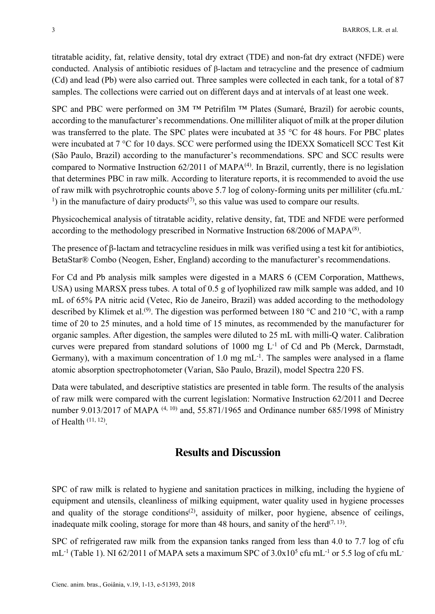titratable acidity, fat, relative density, total dry extract (TDE) and non-fat dry extract (NFDE) were conducted. Analysis of antibiotic residues of β-lactam and tetracycline and the presence of cadmium (Cd) and lead (Pb) were also carried out. Three samples were collected in each tank, for a total of 87 samples. The collections were carried out on different days and at intervals of at least one week.

SPC and PBC were performed on 3M ™ Petrifilm ™ Plates (Sumaré, Brazil) for aerobic counts, according to the manufacturer's recommendations. One milliliter aliquot of milk at the proper dilution was transferred to the plate. The SPC plates were incubated at 35 °C for 48 hours. For PBC plates were incubated at 7 °C for 10 days. SCC were performed using the IDEXX Somaticell SCC Test Kit (São Paulo, Brazil) according to the manufacturer's recommendations. SPC and SCC results were compared to Normative Instruction 62/2011 of MAPA<sup>(4)</sup>. In Brazil, currently, there is no legislation that determines PBC in raw milk. According to literature reports, it is recommended to avoid the use of raw milk with psychrotrophic counts above 5.7 log of colony-forming units per milliliter (cfu.mL-<sup>1</sup>) in the manufacture of dairy products<sup>(7)</sup>, so this value was used to compare our results.

Physicochemical analysis of titratable acidity, relative density, fat, TDE and NFDE were performed according to the methodology prescribed in Normative Instruction  $68/2006$  of MAPA $(8)$ .

The presence of β-lactam and tetracycline residues in milk was verified using a test kit for antibiotics, BetaStar® Combo (Neogen, Esher, England) according to the manufacturer's recommendations.

For Cd and Pb analysis milk samples were digested in a MARS 6 (CEM Corporation, Matthews, USA) using MARSX press tubes. A total of 0.5 g of lyophilized raw milk sample was added, and 10 mL of 65% PA nitric acid (Vetec, Rio de Janeiro, Brazil) was added according to the methodology described by Klimek et al.<sup>(9)</sup>. The digestion was performed between 180 °C and 210 °C, with a ramp time of 20 to 25 minutes, and a hold time of 15 minutes, as recommended by the manufacturer for organic samples. After digestion, the samples were diluted to 25 mL with milli-Q water. Calibration curves were prepared from standard solutions of  $1000 \text{ mg } L^{-1}$  of Cd and Pb (Merck, Darmstadt, Germany), with a maximum concentration of 1.0 mg mL $^{-1}$ . The samples were analysed in a flame atomic absorption spectrophotometer (Varian, São Paulo, Brazil), model Spectra 220 FS.

Data were tabulated, and descriptive statistics are presented in table form. The results of the analysis of raw milk were compared with the current legislation: Normative Instruction 62/2011 and Decree number 9.013/2017 of MAPA (4, 10) and, 55.871/1965 and Ordinance number 685/1998 of Ministry of Health  $(11, 12)$ .

#### **Results and Discussion**

SPC of raw milk is related to hygiene and sanitation practices in milking, including the hygiene of equipment and utensils, cleanliness of milking equipment, water quality used in hygiene processes and quality of the storage conditions<sup> $(2)$ </sup>, assiduity of milker, poor hygiene, absence of ceilings, inadequate milk cooling, storage for more than 48 hours, and sanity of the herd<sup> $(7, 13)$ </sup>.

SPC of refrigerated raw milk from the expansion tanks ranged from less than 4.0 to 7.7 log of cfu mL<sup>-1</sup> (Table 1). NI 62/2011 of MAPA sets a maximum SPC of  $3.0x10^5$  cfu mL<sup>-1</sup> or 5.5 log of cfu mL<sup>-</sup>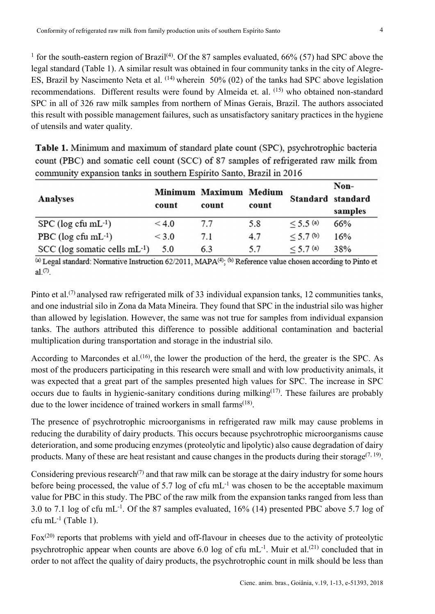<sup>1</sup> for the south-eastern region of Brazil<sup>(4)</sup>. Of the 87 samples evaluated, 66% (57) had SPC above the legal standard (Table 1). A similar result was obtained in four community tanks in the city of Alegre-ES, Brazil by Nascimento Neta et al. (14) wherein 50% (02) of the tanks had SPC above legislation recommendations. Different results were found by Almeida et. al. (15) who obtained non-standard SPC in all of 326 raw milk samples from northern of Minas Gerais, Brazil. The authors associated this result with possible management failures, such as unsatisfactory sanitary practices in the hygiene of utensils and water quality.

| Table 1. Minimum and maximum of standard plate count (SPC), psychrotrophic bacteria  |
|--------------------------------------------------------------------------------------|
| count (PBC) and somatic cell count (SCC) of 87 samples of refrigerated raw milk from |
| community expansion tanks in southern Espírito Santo, Brazil in 2016                 |

| Analyses                           | count | Minimum Maximum Medium<br>count | count | Standard standard | Non-<br>samples |
|------------------------------------|-------|---------------------------------|-------|-------------------|-----------------|
| $SPC$ (log cfu mL $^{-1}$ )        | < 4.0 | 7.7                             | 5.8   | $<$ 5.5 (a)       | 66%             |
| PBC ( $log c$ fu mL $^{-1}$ )      | < 3.0 | 7.1                             | 4.7   | $< 5.7$ (b)       | 16%             |
| $SCC$ (log somatic cells mL $-1$ ) | 5.0   | 6.3                             | 5.7   | $<$ 5.7 (a)       | 38%             |

(a) Legal standard: Normative Instruction 62/2011, MAPA<sup>(4)</sup>; (b) Reference value chosen according to Pinto et  $al$ <sup>(7)</sup>.

Pinto et al.<sup>(7)</sup> analysed raw refrigerated milk of 33 individual expansion tanks, 12 communities tanks, and one industrial silo in Zona da Mata Mineira. They found that SPC in the industrial silo was higher than allowed by legislation. However, the same was not true for samples from individual expansion tanks. The authors attributed this difference to possible additional contamination and bacterial multiplication during transportation and storage in the industrial silo.

According to Marcondes et al.<sup>(16)</sup>, the lower the production of the herd, the greater is the SPC. As most of the producers participating in this research were small and with low productivity animals, it was expected that a great part of the samples presented high values for SPC. The increase in SPC occurs due to faults in hygienic-sanitary conditions during milking $(17)$ . These failures are probably due to the lower incidence of trained workers in small farms(18).

The presence of psychrotrophic microorganisms in refrigerated raw milk may cause problems in reducing the durability of dairy products. This occurs because psychrotrophic microorganisms cause deterioration, and some producing enzymes (proteolytic and lipolytic) also cause degradation of dairy products. Many of these are heat resistant and cause changes in the products during their storage<sup> $(7, 19)$ </sup>.

Considering previous research<sup>(7)</sup> and that raw milk can be storage at the dairy industry for some hours before being processed, the value of 5.7 log of cfu  $mL^{-1}$  was chosen to be the acceptable maximum value for PBC in this study. The PBC of the raw milk from the expansion tanks ranged from less than 3.0 to 7.1 log of cfu mL-1. Of the 87 samples evaluated, 16% (14) presented PBC above 5.7 log of cfu m $L^{-1}$  (Table 1).

Fox<sup>(20)</sup> reports that problems with yield and off-flavour in cheeses due to the activity of proteolytic psychrotrophic appear when counts are above 6.0 log of cfu mL<sup>-1</sup>. Muir et al.<sup>(21)</sup> concluded that in order to not affect the quality of dairy products, the psychrotrophic count in milk should be less than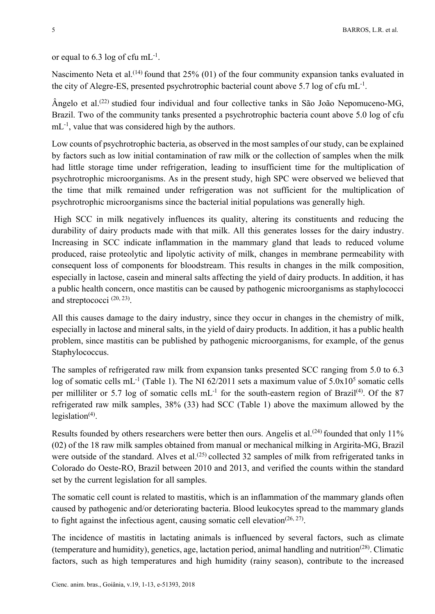or equal to 6.3 log of cfu  $mL^{-1}$ .

Nascimento Neta et al.<sup>(14)</sup> found that  $25\%$  (01) of the four community expansion tanks evaluated in the city of Alegre-ES, presented psychrotrophic bacterial count above 5.7 log of cfu  $mL^{-1}$ .

Ângelo et al.(22) studied four individual and four collective tanks in São João Nepomuceno-MG, Brazil. Two of the community tanks presented a psychrotrophic bacteria count above 5.0 log of cfu mL<sup>-1</sup>, value that was considered high by the authors.

Low counts of psychrotrophic bacteria, as observed in the most samples of our study, can be explained by factors such as low initial contamination of raw milk or the collection of samples when the milk had little storage time under refrigeration, leading to insufficient time for the multiplication of psychrotrophic microorganisms. As in the present study, high SPC were observed we believed that the time that milk remained under refrigeration was not sufficient for the multiplication of psychrotrophic microorganisms since the bacterial initial populations was generally high.

High SCC in milk negatively influences its quality, altering its constituents and reducing the durability of dairy products made with that milk. All this generates losses for the dairy industry. Increasing in SCC indicate inflammation in the mammary gland that leads to reduced volume produced, raise proteolytic and lipolytic activity of milk, changes in membrane permeability with consequent loss of components for bloodstream. This results in changes in the milk composition, especially in lactose, casein and mineral salts affecting the yield of dairy products. In addition, it has a public health concern, once mastitis can be caused by pathogenic microorganisms as staphylococci and streptococci  $(20, 23)$ .

All this causes damage to the dairy industry, since they occur in changes in the chemistry of milk, especially in lactose and mineral salts, in the yield of dairy products. In addition, it has a public health problem, since mastitis can be published by pathogenic microorganisms, for example, of the genus Staphylococcus.

The samples of refrigerated raw milk from expansion tanks presented SCC ranging from 5.0 to 6.3 log of somatic cells mL<sup>-1</sup> (Table 1). The NI  $62/2011$  sets a maximum value of  $5.0x10<sup>5</sup>$  somatic cells per milliliter or 5.7 log of somatic cells  $mL^{-1}$  for the south-eastern region of Brazil<sup>(4)</sup>. Of the 87 refrigerated raw milk samples, 38% (33) had SCC (Table 1) above the maximum allowed by the legislation $(4)$ .

Results founded by others researchers were better then ours. Angelis et al.<sup>(24)</sup> founded that only 11% (02) of the 18 raw milk samples obtained from manual or mechanical milking in Argirita-MG, Brazil were outside of the standard. Alves et al.<sup>(25)</sup> collected 32 samples of milk from refrigerated tanks in Colorado do Oeste-RO, Brazil between 2010 and 2013, and verified the counts within the standard set by the current legislation for all samples.

The somatic cell count is related to mastitis, which is an inflammation of the mammary glands often caused by pathogenic and/or deteriorating bacteria. Blood leukocytes spread to the mammary glands to fight against the infectious agent, causing somatic cell elevation<sup> $(26, 27)$ </sup>.

The incidence of mastitis in lactating animals is influenced by several factors, such as climate (temperature and humidity), genetics, age, lactation period, animal handling and nutrition<sup> $(28)$ </sup>. Climatic factors, such as high temperatures and high humidity (rainy season), contribute to the increased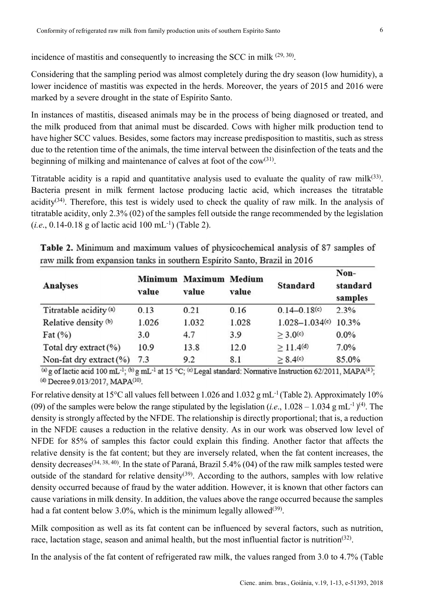incidence of mastitis and consequently to increasing the SCC in milk  $(29, 30)$ .

Considering that the sampling period was almost completely during the dry season (low humidity), a lower incidence of mastitis was expected in the herds. Moreover, the years of 2015 and 2016 were marked by a severe drought in the state of Espírito Santo.

In instances of mastitis, diseased animals may be in the process of being diagnosed or treated, and the milk produced from that animal must be discarded. Cows with higher milk production tend to have higher SCC values. Besides, some factors may increase predisposition to mastitis, such as stress due to the retention time of the animals, the time interval between the disinfection of the teats and the beginning of milking and maintenance of calves at foot of the cow(31).

Titratable acidity is a rapid and quantitative analysis used to evaluate the quality of raw milk $(33)$ . Bacteria present in milk ferment lactose producing lactic acid, which increases the titratable acidity<sup>(34)</sup>. Therefore, this test is widely used to check the quality of raw milk. In the analysis of titratable acidity, only 2.3% (02) of the samples fell outside the range recommended by the legislation (*i.e*., 0.14-0.18 g of lactic acid 100 mL-1) (Table 2).

| <b>Analyses</b>                   | value | Minimum Maximum Medium<br>value | value | <b>Standard</b>      | Non-<br>standard<br>samples |
|-----------------------------------|-------|---------------------------------|-------|----------------------|-----------------------------|
| Titratable acidity <sup>(a)</sup> | 0.13  | 0.21                            | 0.16  | $0.14 - 0.18(c)$     | 2.3%                        |
| Relative density (b)              | 1.026 | 1.032                           | 1.028 | $1.028 - 1.034(c)$   | 10.3%                       |
| Fat $(\%)$                        | 3.0   | 4.7                             | 3.9   | > 3.0 <sup>(c)</sup> | $0.0\%$                     |
| Total dry extract (%)             | 10.9  | 13.8                            | 12.0  | $\geq$ 11.4(d)       | 7.0%                        |
| Non-fat dry extract (%)           | 7.3   | 9.2                             | 8.1   | > 8.4(c)             | 85.0%                       |

Table 2. Minimum and maximum values of physicochemical analysis of 87 samples of raw milk from expansion tanks in southern Espírito Santo, Brazil in 2016

(a) g of lactic acid 100 mL<sup>-1</sup>; (b) g mL<sup>-1</sup> at 15 °C; (c) Legal standard; Normative Instruction 62/2011, MAPA<sup>(4)</sup>; (d) Decree 9.013/2017, MAPA<sup>(10)</sup>.

For relative density at 15°C all values fell between 1.026 and 1.032 g mL<sup>-1</sup> (Table 2). Approximately 10% (09) of the samples were below the range stipulated by the legislation (*i.e.*,  $1.028 - 1.034$  g mL<sup>-1</sup>)<sup>(4)</sup>. The density is strongly affected by the NFDE. The relationship is directly proportional; that is, a reduction in the NFDE causes a reduction in the relative density. As in our work was observed low level of NFDE for 85% of samples this factor could explain this finding. Another factor that affects the relative density is the fat content; but they are inversely related, when the fat content increases, the density decreases(34, 38, 40). In the state of Paraná, Brazil 5.4% (04) of the raw milk samples tested were outside of the standard for relative density<sup>(39)</sup>. According to the authors, samples with low relative density occurred because of fraud by the water addition. However, it is known that other factors can cause variations in milk density. In addition, the values above the range occurred because the samples had a fat content below 3.0%, which is the minimum legally allowed<sup>(39)</sup>.

Milk composition as well as its fat content can be influenced by several factors, such as nutrition, race, lactation stage, season and animal health, but the most influential factor is nutrition<sup>(32)</sup>.

In the analysis of the fat content of refrigerated raw milk, the values ranged from 3.0 to 4.7% (Table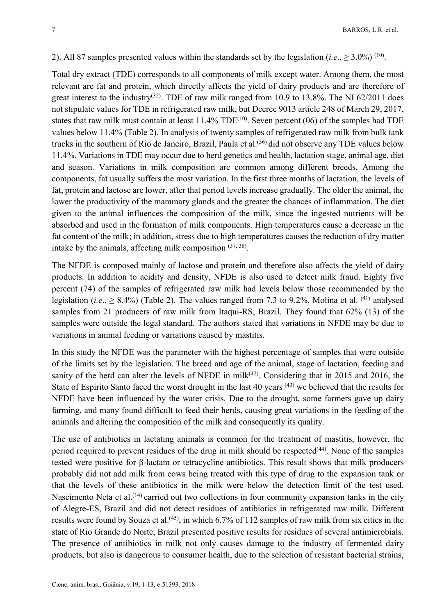#### 2). All 87 samples presented values within the standards set by the legislation (*i.e.*,  $\geq 3.0\%$ ) <sup>(10)</sup>.

Total dry extract (TDE) corresponds to all components of milk except water. Among them, the most relevant are fat and protein, which directly affects the yield of dairy products and are therefore of great interest to the industry<sup>(35)</sup>. TDE of raw milk ranged from 10.9 to 13.8%. The NI 62/2011 does not stipulate values for TDE in refrigerated raw milk, but Decree 9013 article 248 of March 29, 2017, states that raw milk must contain at least  $11.4\%$  TDE<sup>(10)</sup>. Seven percent (06) of the samples had TDE values below 11.4% (Table 2). In analysis of twenty samples of refrigerated raw milk from bulk tank trucks in the southern of Rio de Janeiro, Brazil, Paula et al.(36) did not observe any TDE values below 11.4%. Variations in TDE may occur due to herd genetics and health, lactation stage, animal age, diet and season. Variations in milk composition are common among different breeds. Among the components, fat usually suffers the most variation. In the first three months of lactation, the levels of fat, protein and lactose are lower, after that period levels increase gradually. The older the animal, the lower the productivity of the mammary glands and the greater the chances of inflammation. The diet given to the animal influences the composition of the milk, since the ingested nutrients will be absorbed and used in the formation of milk components. High temperatures cause a decrease in the fat content of the milk; in addition, stress due to high temperatures causes the reduction of dry matter intake by the animals, affecting milk composition  $(37, 38)$ .

The NFDE is composed mainly of lactose and protein and therefore also affects the yield of dairy products. In addition to acidity and density, NFDE is also used to detect milk fraud. Eighty five percent (74) of the samples of refrigerated raw milk had levels below those recommended by the legislation (*i.e*., ≥ 8.4%) (Table 2). The values ranged from 7.3 to 9.2%. Molina et al. (41) analysed samples from 21 producers of raw milk from Itaqui-RS, Brazil. They found that 62% (13) of the samples were outside the legal standard. The authors stated that variations in NFDE may be due to variations in animal feeding or variations caused by mastitis.

In this study the NFDE was the parameter with the highest percentage of samples that were outside of the limits set by the legislation. The breed and age of the animal, stage of lactation, feeding and sanity of the herd can alter the levels of NFDE in milk<sup> $(42)$ </sup>. Considering that in 2015 and 2016, the State of Espírito Santo faced the worst drought in the last 40 years <sup>(43)</sup> we believed that the results for NFDE have been influenced by the water crisis. Due to the drought, some farmers gave up dairy farming, and many found difficult to feed their herds, causing great variations in the feeding of the animals and altering the composition of the milk and consequently its quality.

The use of antibiotics in lactating animals is common for the treatment of mastitis, however, the period required to prevent residues of the drug in milk should be respected<sup> $(44)$ </sup>. None of the samples tested were positive for β-lactam or tetracycline antibiotics. This result shows that milk producers probably did not add milk from cows being treated with this type of drug to the expansion tank or that the levels of these antibiotics in the milk were below the detection limit of the test used. Nascimento Neta et al.<sup>(14)</sup> carried out two collections in four community expansion tanks in the city of Alegre-ES, Brazil and did not detect residues of antibiotics in refrigerated raw milk. Different results were found by Souza et al.<sup> $(45)$ </sup>, in which 6.7% of 112 samples of raw milk from six cities in the state of Rio Grande do Norte, Brazil presented positive results for residues of several antimicrobials. The presence of antibiotics in milk not only causes damage to the industry of fermented dairy products, but also is dangerous to consumer health, due to the selection of resistant bacterial strains,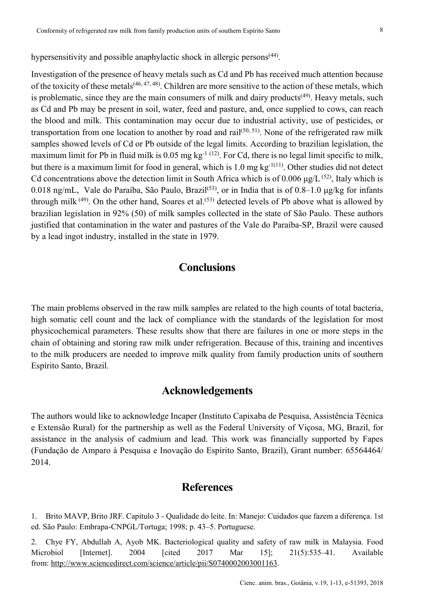hypersensitivity and possible anaphylactic shock in allergic persons<sup>(44)</sup>.

Investigation of the presence of heavy metals such as Cd and Pb has received much attention because of the toxicity of these metals<sup> $(46, 47, 48)$ </sup>. Children are more sensitive to the action of these metals, which is problematic, since they are the main consumers of milk and dairy products<sup> $(49)$ </sup>. Heavy metals, such as Cd and Pb may be present in soil, water, feed and pasture, and, once supplied to cows, can reach the blood and milk. This contamination may occur due to industrial activity, use of pesticides, or transportation from one location to another by road and rail<sup>(50, 51)</sup>. None of the refrigerated raw milk samples showed levels of Cd or Pb outside of the legal limits. According to brazilian legislation, the maximum limit for Pb in fluid milk is 0.05 mg  $kg^{-1}$  (12). For Cd, there is no legal limit specific to milk, but there is a maximum limit for food in general, which is 1.0 mg kg-1(11). Other studies did not detect Cd concentrations above the detection limit in South Africa which is of 0.006  $\mu$ g/L<sup>(52)</sup>, Italy which is 0.018 ng/mL, Vale do Paraíba, São Paulo, Brazil<sup>(53)</sup>, or in India that is of 0.8–1.0  $\mu$ g/kg for infants through milk  $(49)$ . On the other hand, Soares et al.<sup>(53)</sup> detected levels of Pb above what is allowed by brazilian legislation in 92% (50) of milk samples collected in the state of São Paulo. These authors justified that contamination in the water and pastures of the Vale do Paraíba-SP, Brazil were caused by a lead ingot industry, installed in the state in 1979.

#### **Conclusions**

The main problems observed in the raw milk samples are related to the high counts of total bacteria, high somatic cell count and the lack of compliance with the standards of the legislation for most physicochemical parameters. These results show that there are failures in one or more steps in the chain of obtaining and storing raw milk under refrigeration. Because of this, training and incentives to the milk producers are needed to improve milk quality from family production units of southern Espírito Santo, Brazil.

### **Acknowledgements**

The authors would like to acknowledge Incaper (Instituto Capixaba de Pesquisa, Assistência Técnica e Extensão Rural) for the partnership as well as the Federal University of Viçosa, MG, Brazil, for assistance in the analysis of cadmium and lead. This work was financially supported by Fapes (Fundação de Amparo à Pesquisa e Inovação do Espírito Santo, Brazil), Grant number: 65564464/ 2014.

## **References**

1. Brito MAVP, Brito JRF. Capítulo 3 - Qualidade do leite. In: Manejo: Cuidados que fazem a diferença. 1st ed. São Paulo: Embrapa-CNPGL/Tortuga; 1998; p. 43–5. Portuguese.

2. Chye FY, Abdullah A, Ayob MK. Bacteriological quality and safety of raw milk in Malaysia. Food Microbiol [Internet]. 2004 [cited 2017 Mar 15]; 21(5):535–41. Available from: http://www.sciencedirect.com/science/article/pii/S0740002003001163.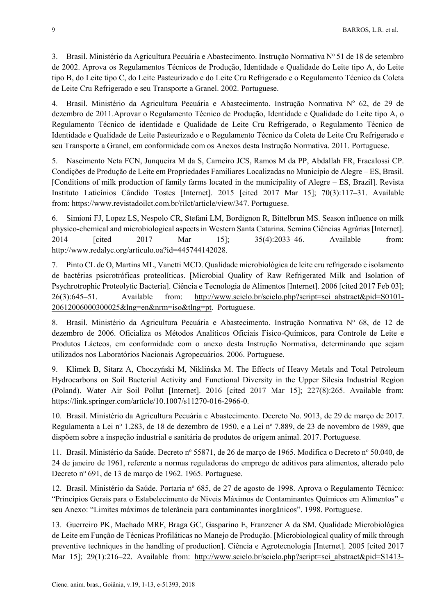3. Brasil. Ministério da Agricultura Pecuária e Abastecimento. Instrução Normativa Nº 51 de 18 de setembro de 2002. Aprova os Regulamentos Técnicos de Produção, Identidade e Qualidade do Leite tipo A, do Leite tipo B, do Leite tipo C, do Leite Pasteurizado e do Leite Cru Refrigerado e o Regulamento Técnico da Coleta de Leite Cru Refrigerado e seu Transporte a Granel. 2002. Portuguese.

4. Brasil. Ministério da Agricultura Pecuária e Abastecimento. Instrução Normativa Nº 62, de 29 de dezembro de 2011.Aprovar o Regulamento Técnico de Produção, Identidade e Qualidade do Leite tipo A, o Regulamento Técnico de identidade e Qualidade de Leite Cru Refrigerado, o Regulamento Técnico de Identidade e Qualidade de Leite Pasteurizado e o Regulamento Técnico da Coleta de Leite Cru Refrigerado e seu Transporte a Granel, em conformidade com os Anexos desta Instrução Normativa. 2011. Portuguese.

5. Nascimento Neta FCN, Junqueira M da S, Carneiro JCS, Ramos M da PP, Abdallah FR, Fracalossi CP. Condições de Produção de Leite em Propriedades Familiares Localizadas no Município de Alegre – ES, Brasil. [Conditions of milk production of family farms located in the municipality of Alegre – ES, Brazil]. Revista Instituto Laticínios Cândido Tostes [Internet]. 2015 [cited 2017 Mar 15]; 70(3):117–31. Available from: https://www.revistadoilct.com.br/rilct/article/view/347. Portuguese.

6. Simioni FJ, Lopez LS, Nespolo CR, Stefani LM, Bordignon R, Bittelbrun MS. Season influence on milk physico-chemical and microbiological aspects in Western Santa Catarina. Semina Ciências Agrárias [Internet]. 2014 [cited 2017 Mar 15]; 35(4):2033–46. Available from: http://www.redalyc.org/articulo.oa?id=445744142028.

7. Pinto CL de O, Martins ML, Vanetti MCD. Qualidade microbiológica de leite cru refrigerado e isolamento de bactérias psicrotróficas proteolíticas. [Microbial Quality of Raw Refrigerated Milk and Isolation of Psychrotrophic Proteolytic Bacteria]. Ciência e Tecnologia de Alimentos [Internet]. 2006 [cited 2017 Feb 03]; 26(3):645–51. Available from: http://www.scielo.br/scielo.php?script=sci\_abstract&pid=S0101- 20612006000300025&lng=en&nrm=iso&tlng=pt. Portuguese.

8. Brasil. Ministério da Agricultura Pecuária e Abastecimento. Instrução Normativa Nº 68, de 12 de dezembro de 2006. Oficializa os Métodos Analíticos Oficiais Físico-Químicos, para Controle de Leite e Produtos Lácteos, em conformidade com o anexo desta Instrução Normativa, determinando que sejam utilizados nos Laboratórios Nacionais Agropecuários. 2006. Portuguese.

9. Klimek B, Sitarz A, Choczyński M, Niklińska M. The Effects of Heavy Metals and Total Petroleum Hydrocarbons on Soil Bacterial Activity and Functional Diversity in the Upper Silesia Industrial Region (Poland). Water Air Soil Pollut [Internet]. 2016 [cited 2017 Mar 15]; 227(8):265. Available from: https://link.springer.com/article/10.1007/s11270-016-2966-0.

10. Brasil. Ministério da Agricultura Pecuária e Abastecimento. Decreto No. 9013, de 29 de março de 2017. Regulamenta a Lei nº 1.283, de 18 de dezembro de 1950, e a Lei nº 7.889, de 23 de novembro de 1989, que dispõem sobre a inspeção industrial e sanitária de produtos de origem animal. 2017. Portuguese.

11. Brasil. Ministério da Saúde. Decreto nº 55871, de 26 de março de 1965. Modifica o Decreto nº 50.040, de 24 de janeiro de 1961, referente a normas reguladoras do emprego de aditivos para alimentos, alterado pelo Decreto nº 691, de 13 de março de 1962. 1965. Portuguese.

12. Brasil. Ministério da Saúde. Portaria nº 685, de 27 de agosto de 1998. Aprova o Regulamento Técnico: "Princípios Gerais para o Estabelecimento de Níveis Máximos de Contaminantes Químicos em Alimentos" e seu Anexo: "Limites máximos de tolerância para contaminantes inorgânicos". 1998. Portuguese.

13. Guerreiro PK, Machado MRF, Braga GC, Gasparino E, Franzener A da SM. Qualidade Microbiológica de Leite em Função de Técnicas Profiláticas no Manejo de Produção. [Microbiological quality of milk through preventive techniques in the handling of production]. Ciência e Agrotecnologia [Internet]. 2005 [cited 2017 Mar 15]; 29(1):216–22. Available from: http://www.scielo.br/scielo.php?script=sci\_abstract&pid=S1413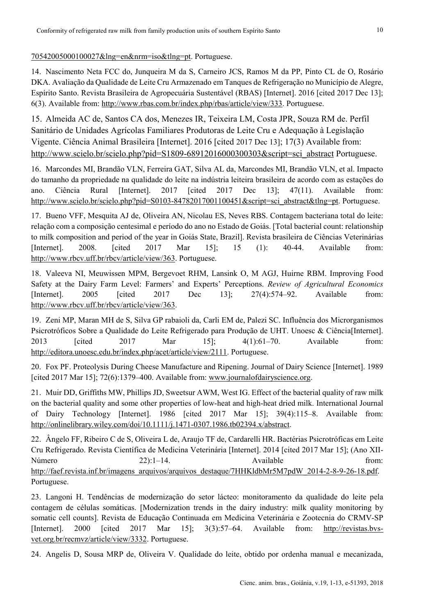70542005000100027&lng=en&nrm=iso&tlng=pt. Portuguese.

14. Nascimento Neta FCC do, Junqueira M da S, Carneiro JCS, Ramos M da PP, Pinto CL de O, Rosário DKA. Avaliação da Qualidade de Leite Cru Armazenado em Tanques de Refrigeração no Município de Alegre, Espírito Santo. Revista Brasileira de Agropecuária Sustentável (RBAS) [Internet]. 2016 [cited 2017 Dec 13]; 6(3). Available from: http://www.rbas.com.br/index.php/rbas/article/view/333. Portuguese.

15. Almeida AC de, Santos CA dos, Menezes IR, Teixeira LM, Costa JPR, Souza RM de. Perfil Sanitário de Unidades Agrícolas Familiares Produtoras de Leite Cru e Adequação à Legislação Vigente. Ciência Animal Brasileira [Internet]. 2016 [cited 2017 Dec 13]; 17(3) Available from: http://www.scielo.br/scielo.php?pid=S1809-68912016000300303&script=sci\_abstract Portuguese.

16. Marcondes MI, Brandão VLN, Ferreira GAT, Silva AL da, Marcondes MI, Brandão VLN, et al. Impacto do tamanho da propriedade na qualidade do leite na indústria leiteira brasileira de acordo com as estações do ano. Ciência Rural [Internet]. 2017 [cited 2017 Dec 13]; 47(11). Available from: http://www.scielo.br/scielo.php?pid=S0103-84782017001100451&script=sci\_abstract&tlng=pt. Portuguese.

17. Bueno VFF, Mesquita AJ de, Oliveira AN, Nicolau ES, Neves RBS. Contagem bacteriana total do leite: relação com a composição centesimal e período do ano no Estado de Goiás. [Total bacterial count: relationship to milk composition and period of the year in Goiás State, Brazil]. Revista brasileira de Ciências Veterinárias [Internet]. 2008. [cited 2017 Mar 15]; 15 (1): 40-44. Available from: http://www.rbcv.uff.br/rbcv/article/view/363. Portuguese.

18. Valeeva NI, Meuwissen MPM, Bergevoet RHM, Lansink O, M AGJ, Huirne RBM. Improving Food Safety at the Dairy Farm Level: Farmers' and Experts' Perceptions. *Review of Agricultural Economics* [Internet]. 2005 [cited 2017 Dec 13]; 27(4):574–92. Available from: http://www.rbcv.uff.br/rbcv/article/view/363.

19. Zeni MP, Maran MH de S, Silva GP rabaioli da, Carli EM de, Palezi SC. Influência dos Microrganismos Psicrotróficos Sobre a Qualidade do Leite Refrigerado para Produção de UHT. Unoesc & Ciência[Internet]. 2013 [cited 2017 Mar 15]; 4(1):61–70. Available from: http://editora.unoesc.edu.br/index.php/acet/article/view/2111. Portuguese.

20. Fox PF. Proteolysis During Cheese Manufacture and Ripening. Journal of Dairy Science [Internet]. 1989 [cited 2017 Mar 15]; 72(6):1379–400. Available from: www.journalofdairyscience.org.

21. Muir DD, Griffiths MW, Phillips JD, Sweetsur AWM, West IG. Effect of the bacterial quality of raw milk on the bacterial quality and some other properties of low-heat and high-heat dried milk. International Journal of Dairy Technology [Internet]. 1986 [cited 2017 Mar 15]; 39(4):115–8. Available from: http://onlinelibrary.wiley.com/doi/10.1111/j.1471-0307.1986.tb02394.x/abstract.

22. Ângelo FF, Ribeiro C de S, Oliveira L de, Araujo TF de, Cardarelli HR. Bactérias Psicrotróficas em Leite Cru Refrigerado. Revista Científica de Medicina Veterinária [Internet]. 2014 [cited 2017 Mar 15]; (Ano XII-Número 22):1-14. Available from: http://faef.revista.inf.br/imagens\_arquivos/arquivos\_destaque/7HHKldbMr5M7pdW\_2014-2-8-9-26-18.pdf. Portuguese.

23. Langoni H. Tendências de modernização do setor lácteo: monitoramento da qualidade do leite pela contagem de células somáticas. [Modernization trends in the dairy industry: milk quality monitoring by somatic cell counts]. Revista de Educação Continuada em Medicina Veterinária e Zootecnia do CRMV-SP [Internet]. 2000 [cited 2017 Mar 15]; 3(3):57–64. Available from: http://revistas.bvsvet.org.br/recmvz/article/view/3332. Portuguese.

24. Angelis D, Sousa MRP de, Oliveira V. Qualidade do leite, obtido por ordenha manual e mecanizada,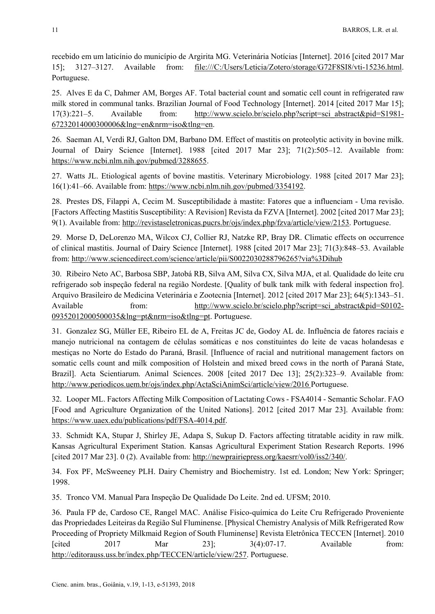recebido em um laticínio do município de Argirita MG. Veterinária Notícias [Internet]. 2016 [cited 2017 Mar 15]; 3127–3127. Available from: file:///C:/Users/Leticia/Zotero/storage/G72F8SI8/vti-15236.html. Portuguese.

25. Alves E da C, Dahmer AM, Borges AF. Total bacterial count and somatic cell count in refrigerated raw milk stored in communal tanks. Brazilian Journal of Food Technology [Internet]. 2014 [cited 2017 Mar 15]; 17(3):221–5. Available from: http://www.scielo.br/scielo.php?script=sci\_abstract&pid=S1981- 67232014000300006&lng=en&nrm=iso&tlng=en.

26. Saeman AI, Verdi RJ, Galton DM, Barbano DM. Effect of mastitis on proteolytic activity in bovine milk. Journal of Dairy Science [Internet]. 1988 [cited 2017 Mar 23]; 71(2):505–12. Available from: https://www.ncbi.nlm.nih.gov/pubmed/3288655.

27. Watts JL. Etiological agents of bovine mastitis. Veterinary Microbiology. 1988 [cited 2017 Mar 23]; 16(1):41–66. Available from: https://www.ncbi.nlm.nih.gov/pubmed/3354192.

28. Prestes DS, Filappi A, Cecim M. Susceptibilidade à mastite: Fatores que a influenciam - Uma revisão. [Factors Affecting Mastitis Susceptibility: A Revision] Revista da FZVA [Internet]. 2002 [cited 2017 Mar 23]; 9(1). Available from: http://revistaseletronicas.pucrs.br/ojs/index.php/fzva/article/view/2153. Portuguese.

29. Morse D, DeLorenzo MA, Wilcox CJ, Collier RJ, Natzke RP, Bray DR. Climatic effects on occurrence of clinical mastitis. Journal of Dairy Science [Internet]. 1988 [cited 2017 Mar 23]; 71(3):848–53. Available from: http://www.sciencedirect.com/science/article/pii/S0022030288796265?via%3Dihub

30. Ribeiro Neto AC, Barbosa SBP, Jatobá RB, Silva AM, Silva CX, Silva MJA, et al. Qualidade do leite cru refrigerado sob inspeção federal na região Nordeste. [Quality of bulk tank milk with federal inspection fro]. Arquivo Brasileiro de Medicina Veterinária e Zootecnia [Internet]. 2012 [cited 2017 Mar 23]; 64(5):1343–51. Available from: http://www.scielo.br/scielo.php?script=sci\_abstract&pid=S0102-09352012000500035&lng=pt&nrm=iso&tlng=pt. Portuguese.

31. Gonzalez SG, Müller EE, Ribeiro EL de A, Freitas JC de, Godoy AL de. Influência de fatores raciais e manejo nutricional na contagem de células somáticas e nos constituintes do leite de vacas holandesas e mestiças no Norte do Estado do Paraná, Brasil. [Influence of racial and nutritional management factors on somatic cells count and milk composition of Holstein and mixed breed cows in the north of Paraná State, Brazil]. Acta Scientiarum. Animal Sciences. 2008 [cited 2017 Dec 13]; 25(2):323–9. Available from: http://www.periodicos.uem.br/ojs/index.php/ActaSciAnimSci/article/view/2016 Portuguese.

32. Looper ML. Factors Affecting Milk Composition of Lactating Cows - FSA4014 - Semantic Scholar. FAO [Food and Agriculture Organization of the United Nations]. 2012 [cited 2017 Mar 23]. Available from: https://www.uaex.edu/publications/pdf/FSA-4014.pdf.

33. Schmidt KA, Stupar J, Shirley JE, Adapa S, Sukup D. Factors affecting titratable acidity in raw milk. Kansas Agricultural Experiment Station. Kansas Agricultural Experiment Station Research Reports. 1996 [cited 2017 Mar 23]. 0 (2). Available from: http://newprairiepress.org/kaesrr/vol0/iss2/340/.

34. Fox PF, McSweeney PLH. Dairy Chemistry and Biochemistry. 1st ed. London; New York: Springer; 1998.

35. Tronco VM. Manual Para Inspeção De Qualidade Do Leite. 2nd ed. UFSM; 2010.

36. Paula FP de, Cardoso CE, Rangel MAC. Análise Físico-química do Leite Cru Refrigerado Proveniente das Propriedades Leiteiras da Região Sul Fluminense. [Physical Chemistry Analysis of Milk Refrigerated Row Proceeding of Propriety Milkmaid Region of South Fluminense] Revista Eletrônica TECCEN [Internet]. 2010 [cited  $2017$  Mar  $23$ ];  $3(4):07-17$ . Available from: http://editorauss.uss.br/index.php/TECCEN/article/view/257. Portuguese.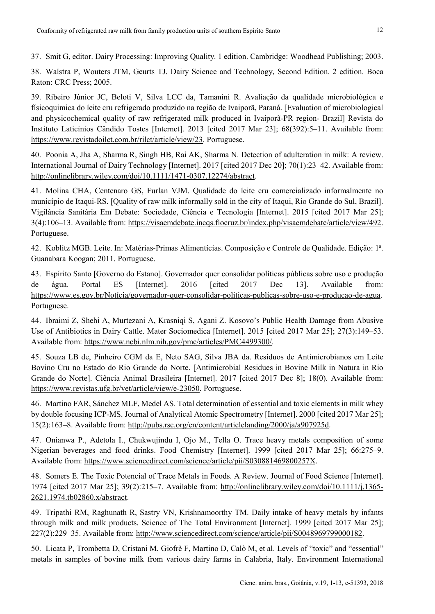37. Smit G, editor. Dairy Processing: Improving Quality. 1 edition. Cambridge: Woodhead Publishing; 2003.

38. Walstra P, Wouters JTM, Geurts TJ. Dairy Science and Technology, Second Edition. 2 edition. Boca Raton: CRC Press; 2005.

39. Ribeiro Júnior JC, Beloti V, Silva LCC da, Tamanini R. Avaliação da qualidade microbiológica e físicoquímica do leite cru refrigerado produzido na região de Ivaiporã, Paraná. [Evaluation of microbiological and physicochemical quality of raw refrigerated milk produced in Ivaiporã-PR region- Brazil] Revista do Instituto Laticínios Cândido Tostes [Internet]. 2013 [cited 2017 Mar 23]; 68(392):5–11. Available from: https://www.revistadoilct.com.br/rilct/article/view/23. Portuguese.

40. Poonia A, Jha A, Sharma R, Singh HB, Rai AK, Sharma N. Detection of adulteration in milk: A review. International Journal of Dairy Technology [Internet]. 2017 [cited 2017 Dec 20]; 70(1):23–42. Available from: http://onlinelibrary.wiley.com/doi/10.1111/1471-0307.12274/abstract.

41. Molina CHA, Centenaro GS, Furlan VJM. Qualidade do leite cru comercializado informalmente no município de Itaqui-RS. [Quality of raw milk informally sold in the city of Itaqui, Rio Grande do Sul, Brazil]. Vigilância Sanitária Em Debate: Sociedade, Ciência e Tecnologia [Internet]. 2015 [cited 2017 Mar 25]; 3(4):106–13. Available from: https://visaemdebate.incqs.fiocruz.br/index.php/visaemdebate/article/view/492. Portuguese.

42. Koblitz MGB. Leite. In: Matérias-Primas Alimentícias. Composição e Controle de Qualidade. Edição: 1ª. Guanabara Koogan; 2011. Portuguese.

43. Espírito Santo [Governo do Estano]. Governador quer consolidar políticas públicas sobre uso e produção de água. Portal ES [Internet]. 2016 [cited 2017 Dec 13]. Available from: https://www.es.gov.br/Notícia/governador-quer-consolidar-politicas-publicas-sobre-uso-e-producao-de-agua. Portuguese.

44. Ibraimi Z, Shehi A, Murtezani A, Krasniqi S, Agani Z. Kosovo's Public Health Damage from Abusive Use of Antibiotics in Dairy Cattle. Mater Sociomedica [Internet]. 2015 [cited 2017 Mar 25]; 27(3):149–53. Available from: https://www.ncbi.nlm.nih.gov/pmc/articles/PMC4499300/.

45. Souza LB de, Pinheiro CGM da E, Neto SAG, Silva JBA da. Resíduos de Antimicrobianos em Leite Bovino Cru no Estado do Rio Grande do Norte. [Antimicrobial Residues in Bovine Milk in Natura in Rio Grande do Norte]. Ciência Animal Brasileira [Internet]. 2017 [cited 2017 Dec 8]; 18(0). Available from: https://www.revistas.ufg.br/vet/article/view/e-23050. Portuguese.

46. Martino FAR, Sánchez MLF, Medel AS. Total determination of essential and toxic elements in milk whey by double focusing ICP-MS. Journal of Analytical Atomic Spectrometry [Internet]. 2000 [cited 2017 Mar 25]; 15(2):163–8. Available from: http://pubs.rsc.org/en/content/articlelanding/2000/ja/a907925d.

47. Onianwa P., Adetola I., Chukwujindu I, Ojo M., Tella O. Trace heavy metals composition of some Nigerian beverages and food drinks. Food Chemistry [Internet]. 1999 [cited 2017 Mar 25]; 66:275–9. Available from: https://www.sciencedirect.com/science/article/pii/S030881469800257X.

48. Somers E. The Toxic Potencial of Trace Metals in Foods. A Review. Journal of Food Science [Internet]. 1974 [cited 2017 Mar 25]; 39(2):215–7. Available from: http://onlinelibrary.wiley.com/doi/10.1111/j.1365- 2621.1974.tb02860.x/abstract.

49. Tripathi RM, Raghunath R, Sastry VN, Krishnamoorthy TM. Daily intake of heavy metals by infants through milk and milk products. Science of The Total Environment [Internet]. 1999 [cited 2017 Mar 25]; 227(2):229–35. Available from: http://www.sciencedirect.com/science/article/pii/S0048969799000182.

50. Licata P, Trombetta D, Cristani M, Giofrè F, Martino D, Calò M, et al. Levels of "toxic" and "essential" metals in samples of bovine milk from various dairy farms in Calabria, Italy. Environment International